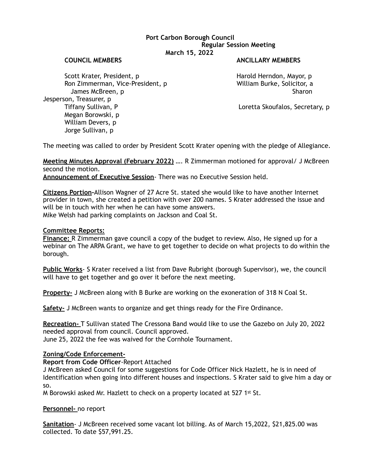# **Port Carbon Borough Council Regular Session Meeting March 15, 2022**

### **COUNCIL MEMBERS ANCILLARY MEMBERS**

Scott Krater, President, p Andreas Harold Herndon, Mayor, p Harold Herndon, Mayor, p Ron Zimmerman, Vice-President, p William Burke, Solicitor, a James McBreen, p Sharon Sharon Sharon Sharon Sharon Sharon Sharon Sharon Sharon Sharon Sharon Sharon Sharon Sharon Jesperson, Treasurer, p Tiffany Sullivan, P and Controller and Controller Loretta Skoufalos, Secretary, p Megan Borowski, p William Devers, p Jorge Sullivan, p

The meeting was called to order by President Scott Krater opening with the pledge of Allegiance.

**Meeting Minutes Approval (February 2022)** …. R Zimmerman motioned for approval/ J McBreen second the motion.

**Announcement of Executive Session**- There was no Executive Session held.

**Citizens Portion-**Allison Wagner of 27 Acre St. stated she would like to have another Internet provider in town, she created a petition with over 200 names. S Krater addressed the issue and will be in touch with her when he can have some answers. Mike Welsh had parking complaints on Jackson and Coal St.

## **Committee Reports:**

**Finance:** R Zimmerman gave council a copy of the budget to review. Also, He signed up for a webinar on The ARPA Grant, we have to get together to decide on what projects to do within the borough.

**Public Works**- S Krater received a list from Dave Rubright (borough Supervisor), we, the council will have to get together and go over it before the next meeting.

**Property-** J McBreen along with B Burke are working on the exoneration of 318 N Coal St.

**Safety-** J McBreen wants to organize and get things ready for the Fire Ordinance.

**Recreation-** T Sullivan stated The Cressona Band would like to use the Gazebo on July 20, 2022 needed approval from council. Council approved.

June 25, 2022 the fee was waived for the Cornhole Tournament.

# **Zoning/Code Enforcement-**

**Report from Code Officer**-Report Attached

J McBreen asked Council for some suggestions for Code Officer Nick Hazlett, he is in need of Identification when going into different houses and inspections. S Krater said to give him a day or so.

M Borowski asked Mr. Hazlett to check on a property located at 527 1st St.

**Personnel-** no report

**Sanitation**- J McBreen received some vacant lot billing. As of March 15,2022, \$21,825.00 was collected. To date \$57,991.25.